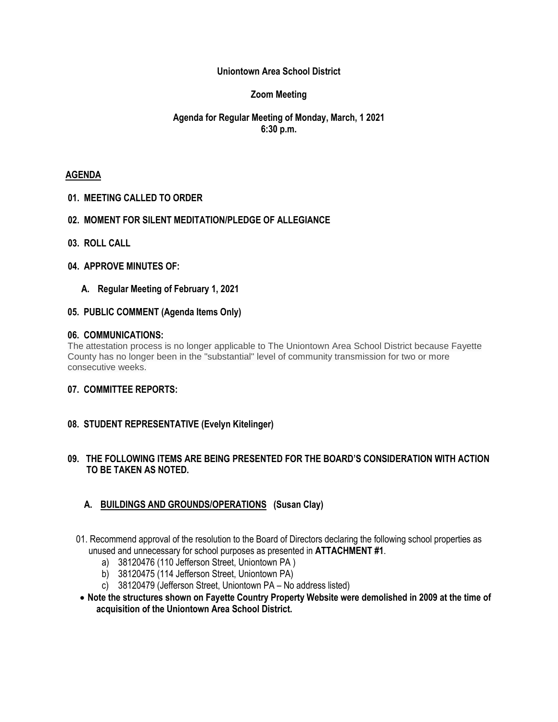### **Uniontown Area School District**

## **Zoom Meeting**

## **Agenda for Regular Meeting of Monday, March, 1 2021 6:30 p.m.**

#### **AGENDA**

**01. MEETING CALLED TO ORDER**

#### **02. MOMENT FOR SILENT MEDITATION/PLEDGE OF ALLEGIANCE**

- **03. ROLL CALL**
- **04. APPROVE MINUTES OF:**
	- **A. Regular Meeting of February 1, 2021**

#### **05. PUBLIC COMMENT (Agenda Items Only)**

#### **06. COMMUNICATIONS:**

The attestation process is no longer applicable to The Uniontown Area School District because Fayette County has no longer been in the "substantial" level of community transmission for two or more consecutive weeks.

#### **07. COMMITTEE REPORTS:**

### **08. STUDENT REPRESENTATIVE (Evelyn Kitelinger)**

#### **09. THE FOLLOWING ITEMS ARE BEING PRESENTED FOR THE BOARD'S CONSIDERATION WITH ACTION TO BE TAKEN AS NOTED.**

### **A. BUILDINGS AND GROUNDS/OPERATIONS (Susan Clay)**

- 01. Recommend approval of the resolution to the Board of Directors declaring the following school properties as unused and unnecessary for school purposes as presented in **ATTACHMENT #1**.
	- a) 38120476 (110 Jefferson Street, Uniontown PA )
	- b) 38120475 (114 Jefferson Street, Uniontown PA)
	- c) 38120479 (Jefferson Street, Uniontown PA No address listed)
- **Note the structures shown on Fayette Country Property Website were demolished in 2009 at the time of acquisition of the Uniontown Area School District.**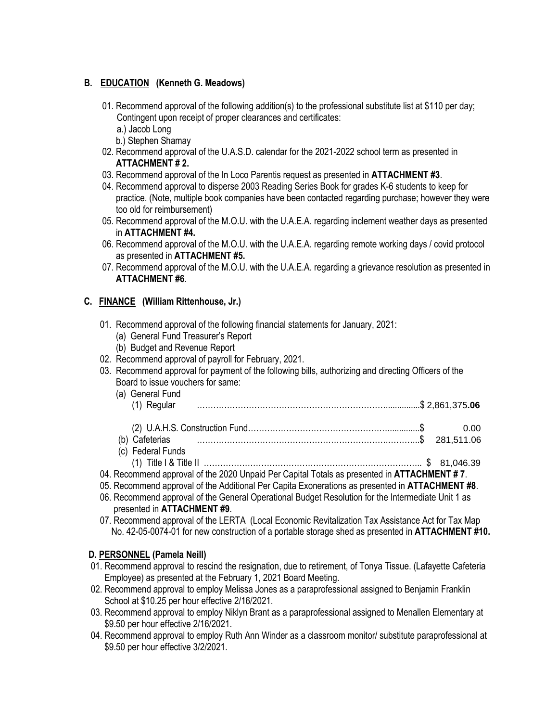## **B. EDUCATION (Kenneth G. Meadows)**

- 01. Recommend approval of the following addition(s) to the professional substitute list at \$110 per day; Contingent upon receipt of proper clearances and certificates:
	- a.) Jacob Long
	- b.) Stephen Shamay
- 02. Recommend approval of the U.A.S.D. calendar for the 2021-2022 school term as presented in **ATTACHMENT # 2.**
- 03. Recommend approval of the In Loco Parentis request as presented in **ATTACHMENT #3**.
- 04. Recommend approval to disperse 2003 Reading Series Book for grades K-6 students to keep for practice. (Note, multiple book companies have been contacted regarding purchase; however they were too old for reimbursement)
- 05. Recommend approval of the M.O.U. with the U.A.E.A. regarding inclement weather days as presented in **ATTACHMENT #4.**
- 06. Recommend approval of the M.O.U. with the U.A.E.A. regarding remote working days / covid protocol as presented in **ATTACHMENT #5.**
- 07. Recommend approval of the M.O.U. with the U.A.E.A. regarding a grievance resolution as presented in **ATTACHMENT #6**.

## **C. FINANCE (William Rittenhouse, Jr.)**

- 01. Recommend approval of the following financial statements for January, 2021:
	- (a) General Fund Treasurer's Report
	- (b) Budget and Revenue Report
- 02. Recommend approval of payroll for February, 2021.
- 03. Recommend approval for payment of the following bills, authorizing and directing Officers of the Board to issue vouchers for same:
	- (a) General Fund
		- (1) Regular ……………………………………………………………...............\$ 2,861,375**.06**
	- (2) U.A.H.S. Construction Fund……………………………………………..............\$ 0.00 (b) Cafeterias …………………………………………………………….………...\$ 281,511.06
	- (c) Federal Funds (1) Title I & Title II …………………………………………………………………….. \$ 81,046.39
- 04. Recommend approval of the 2020 Unpaid Per Capital Totals as presented in **ATTACHMENT # 7**.
- 05. Recommend approval of the Additional Per Capita Exonerations as presented in **ATTACHMENT #8**.
- 06. Recommend approval of the General Operational Budget Resolution for the Intermediate Unit 1 as presented in **ATTACHMENT #9**.
- 07. Recommend approval of the LERTA (Local Economic Revitalization Tax Assistance Act for Tax Map No. 42-05-0074-01 for new construction of a portable storage shed as presented in **ATTACHMENT #10.**

### **D. PERSONNEL (Pamela Neill)**

- 01. Recommend approval to rescind the resignation, due to retirement, of Tonya Tissue. (Lafayette Cafeteria Employee) as presented at the February 1, 2021 Board Meeting.
- 02. Recommend approval to employ Melissa Jones as a paraprofessional assigned to Benjamin Franklin School at \$10.25 per hour effective 2/16/2021.
- 03. Recommend approval to employ Niklyn Brant as a paraprofessional assigned to Menallen Elementary at \$9.50 per hour effective 2/16/2021.
- 04. Recommend approval to employ Ruth Ann Winder as a classroom monitor/ substitute paraprofessional at \$9.50 per hour effective 3/2/2021.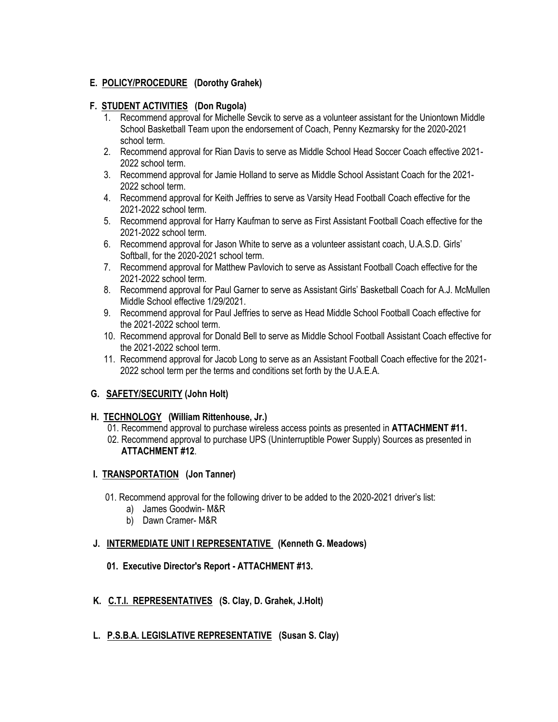# **E. POLICY/PROCEDURE (Dorothy Grahek)**

## **F. STUDENT ACTIVITIES (Don Rugola)**

- 1. Recommend approval for Michelle Sevcik to serve as a volunteer assistant for the Uniontown Middle School Basketball Team upon the endorsement of Coach, Penny Kezmarsky for the 2020-2021 school term.
- 2. Recommend approval for Rian Davis to serve as Middle School Head Soccer Coach effective 2021- 2022 school term.
- 3. Recommend approval for Jamie Holland to serve as Middle School Assistant Coach for the 2021- 2022 school term.
- 4. Recommend approval for Keith Jeffries to serve as Varsity Head Football Coach effective for the 2021-2022 school term.
- 5. Recommend approval for Harry Kaufman to serve as First Assistant Football Coach effective for the 2021-2022 school term.
- 6. Recommend approval for Jason White to serve as a volunteer assistant coach, U.A.S.D. Girls' Softball, for the 2020-2021 school term.
- 7. Recommend approval for Matthew Pavlovich to serve as Assistant Football Coach effective for the 2021-2022 school term.
- 8. Recommend approval for Paul Garner to serve as Assistant Girls' Basketball Coach for A.J. McMullen Middle School effective 1/29/2021.
- 9. Recommend approval for Paul Jeffries to serve as Head Middle School Football Coach effective for the 2021-2022 school term.
- 10. Recommend approval for Donald Bell to serve as Middle School Football Assistant Coach effective for the 2021-2022 school term.
- 11. Recommend approval for Jacob Long to serve as an Assistant Football Coach effective for the 2021- 2022 school term per the terms and conditions set forth by the U.A.E.A.

# **G. SAFETY/SECURITY (John Holt)**

### **H. TECHNOLOGY (William Rittenhouse, Jr.)**

- 01. Recommend approval to purchase wireless access points as presented in **ATTACHMENT #11.**
- 02. Recommend approval to purchase UPS (Uninterruptible Power Supply) Sources as presented in **ATTACHMENT #12**.

### **I. TRANSPORTATION (Jon Tanner)**

- 01. Recommend approval for the following driver to be added to the 2020-2021 driver's list:
	- a) James Goodwin- M&R
	- b) Dawn Cramer- M&R

### **J. INTERMEDIATE UNIT I REPRESENTATIVE (Kenneth G. Meadows)**

- **01. Executive Director's Report - ATTACHMENT #13.**
- **K. C.T.I. REPRESENTATIVES (S. Clay, D. Grahek, J.Holt)**
- **L. P.S.B.A. LEGISLATIVE REPRESENTATIVE (Susan S. Clay)**